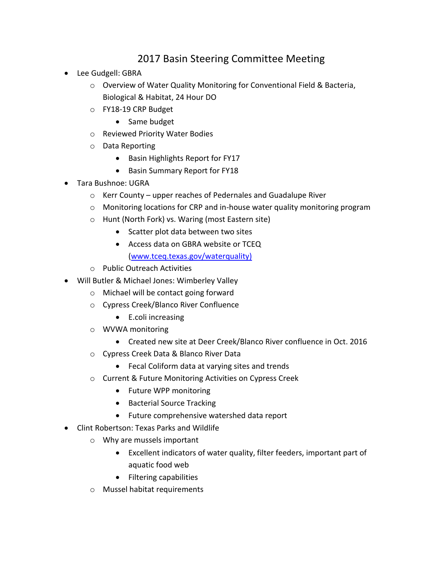## 2017 Basin Steering Committee Meeting

- Lee Gudgell: GBRA
	- o Overview of Water Quality Monitoring for Conventional Field & Bacteria, Biological & Habitat, 24 Hour DO
	- o FY18-19 CRP Budget
		- Same budget
	- o Reviewed Priority Water Bodies
	- o Data Reporting
		- Basin Highlights Report for FY17
		- Basin Summary Report for FY18
- Tara Bushnoe: UGRA
	- o Kerr County upper reaches of Pedernales and Guadalupe River
	- o Monitoring locations for CRP and in-house water quality monitoring program
	- o Hunt (North Fork) vs. Waring (most Eastern site)
		- Scatter plot data between two sites
		- Access data on GBRA website or TCEQ [\(www.tceq.texas.gov/waterquality\)](http://www.tceq.texas.gov/waterquality)
	- o Public Outreach Activities
- Will Butler & Michael Jones: Wimberley Valley
	- o Michael will be contact going forward
	- o Cypress Creek/Blanco River Confluence
		- E.coli increasing
	- o WVWA monitoring
		- Created new site at Deer Creek/Blanco River confluence in Oct. 2016
	- o Cypress Creek Data & Blanco River Data
		- Fecal Coliform data at varying sites and trends
	- o Current & Future Monitoring Activities on Cypress Creek
		- Future WPP monitoring
		- Bacterial Source Tracking
		- Future comprehensive watershed data report
- Clint Robertson: Texas Parks and Wildlife
	- o Why are mussels important
		- Excellent indicators of water quality, filter feeders, important part of aquatic food web
		- Filtering capabilities
	- o Mussel habitat requirements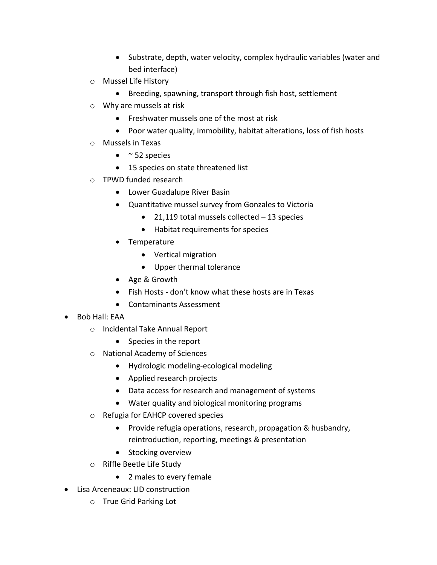- Substrate, depth, water velocity, complex hydraulic variables (water and bed interface)
- o Mussel Life History
	- Breeding, spawning, transport through fish host, settlement
- o Why are mussels at risk
	- Freshwater mussels one of the most at risk
	- Poor water quality, immobility, habitat alterations, loss of fish hosts
- o Mussels in Texas
	- $\bullet$  ~ 52 species
	- 15 species on state threatened list
- o TPWD funded research
	- Lower Guadalupe River Basin
	- Quantitative mussel survey from Gonzales to Victoria
		- 21,119 total mussels collected 13 species
		- Habitat requirements for species
	- Temperature
		- Vertical migration
		- Upper thermal tolerance
	- Age & Growth
	- Fish Hosts don't know what these hosts are in Texas
	- Contaminants Assessment
- Bob Hall: EAA
	- o Incidental Take Annual Report
		- Species in the report
	- o National Academy of Sciences
		- Hydrologic modeling-ecological modeling
		- Applied research projects
		- Data access for research and management of systems
		- Water quality and biological monitoring programs
	- o Refugia for EAHCP covered species
		- Provide refugia operations, research, propagation & husbandry, reintroduction, reporting, meetings & presentation
		- Stocking overview
	- o Riffle Beetle Life Study
		- 2 males to every female
- Lisa Arceneaux: LID construction
	- o True Grid Parking Lot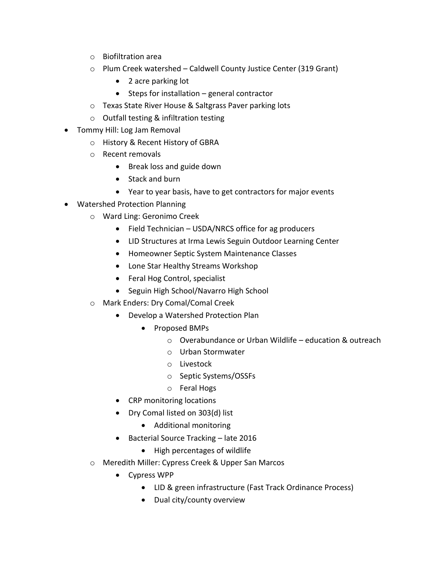- o Biofiltration area
- o Plum Creek watershed Caldwell County Justice Center (319 Grant)
	- 2 acre parking lot
	- $\bullet$  Steps for installation general contractor
- o Texas State River House & Saltgrass Paver parking lots
- o Outfall testing & infiltration testing
- Tommy Hill: Log Jam Removal
	- o History & Recent History of GBRA
	- o Recent removals
		- Break loss and guide down
		- Stack and burn
		- Year to year basis, have to get contractors for major events
- Watershed Protection Planning
	- o Ward Ling: Geronimo Creek
		- Field Technician USDA/NRCS office for ag producers
		- LID Structures at Irma Lewis Seguin Outdoor Learning Center
		- Homeowner Septic System Maintenance Classes
		- Lone Star Healthy Streams Workshop
		- Feral Hog Control, specialist
		- Seguin High School/Navarro High School
	- o Mark Enders: Dry Comal/Comal Creek
		- Develop a Watershed Protection Plan
			- Proposed BMPs
				- o Overabundance or Urban Wildlife education & outreach
				- o Urban Stormwater
				- o Livestock
				- o Septic Systems/OSSFs
				- o Feral Hogs
		- CRP monitoring locations
		- Dry Comal listed on 303(d) list
			- Additional monitoring
		- Bacterial Source Tracking late 2016
			- High percentages of wildlife
	- o Meredith Miller: Cypress Creek & Upper San Marcos
		- Cypress WPP
			- LID & green infrastructure (Fast Track Ordinance Process)
			- Dual city/county overview